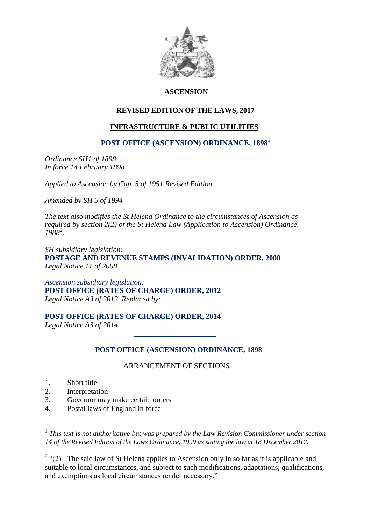

# **ASCENSION**

# **REVISED EDITION OF THE LAWS, 2017**

# **INFRASTRUCTURE & PUBLIC UTILITIES**

# **POST OFFICE (ASCENSION) ORDINANCE, 1898<sup>1</sup>**

*Ordinance SH1 of 1898 In force 14 February 1898*

*Applied to Ascension by Cap. 5 of 1951 Revised Edition.*

*Amended by SH 5 of 1994*

*The text also modifies the St Helena Ordinance to the circumstances of Ascension as required by section 2(2) of the St Helena Law (Application to Ascension) Ordinance, 1988<sup>2</sup> .*

*SH subsidiary legislation:* **POSTAGE AND REVENUE STAMPS (INVALIDATION) ORDER, 2008** *Legal Notice 11 of 2008* 

*Ascension subsidiary legislation:* **POST OFFICE (RATES OF CHARGE) ORDER, 2012** *Legal Notice A3 of 2012. Replaced by:*

### **POST OFFICE (RATES OF CHARGE) ORDER, 2014**

 *\_\_\_\_\_\_\_\_\_\_\_\_\_\_\_\_\_\_\_\_\_\_*

*Legal Notice A3 of 2014*

# **POST OFFICE (ASCENSION) ORDINANCE, 1898**

### ARRANGEMENT OF SECTIONS

1. Short title

<u>.</u>

- 2. Interpretation
- 3. Governor may make certain orders
- 4. Postal laws of England in force

<sup>&</sup>lt;sup>1</sup> This text is not authoritative but was prepared by the Law Revision Commissioner under section *14 of the Revised Edition of the Laws Ordinance, 1999 as stating the law at 18 December 2017.*

<sup>&</sup>lt;sup>2</sup> "(2) The said law of St Helena applies to Ascension only in so far as it is applicable and suitable to local circumstances, and subject to such modifications, adaptations, qualifications, and exemptions as local circumstances render necessary."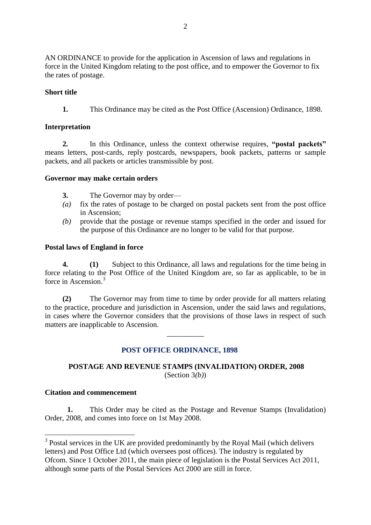AN ORDINANCE to provide for the application in Ascension of laws and regulations in force in the United Kingdom relating to the post office, and to empower the Governor to fix the rates of postage.

## **Short title**

**1.** This Ordinance may be cited as the Post Office (Ascension) Ordinance, 1898.

### **Interpretation**

**2.** In this Ordinance, unless the context otherwise requires, **"postal packets"** means letters, post-cards, reply postcards, newspapers, book packets, patterns or sample packets, and all packets or articles transmissible by post.

### **Governor may make certain orders**

- **3.** The Governor may by order—
- *(a)* fix the rates of postage to be charged on postal packets sent from the post office in Ascension;
- *(b)* provide that the postage or revenue stamps specified in the order and issued for the purpose of this Ordinance are no longer to be valid for that purpose.

### **Postal laws of England in force**

**4. (1)** Subject to this Ordinance, all laws and regulations for the time being in force relating to the Post Office of the United Kingdom are, so far as applicable, to be in force in Ascension. 3

**(2)** The Governor may from time to time by order provide for all matters relating to the practice, procedure and jurisdiction in Ascension, under the said laws and regulations, in cases where the Governor considers that the provisions of those laws in respect of such matters are inapplicable to Ascension.

\_\_\_\_\_\_\_\_\_\_

# **POST OFFICE ORDINANCE, 1898**

# **POSTAGE AND REVENUE STAMPS (INVALIDATION) ORDER, 2008** (Section 3*(b)*)

### **Citation and commencement**

1

**1.** This Order may be cited as the Postage and Revenue Stamps (Invalidation) Order, 2008, and comes into force on 1st May 2008.

<sup>&</sup>lt;sup>3</sup> Postal services in the UK are provided predominantly by the [Royal Mail](https://en.wikipedia.org/wiki/Royal_Mail) (which delivers letters) and [Post Office Ltd](https://en.wikipedia.org/wiki/Post_Office_Ltd) (which oversees post offices). The industry is regulated by [Ofcom.](https://en.wikipedia.org/wiki/Ofcom) Since 1 October 2011, the main piece of legislation is the [Postal Services Act 2011,](https://en.wikipedia.org/wiki/Postal_Services_Act_2011) although some parts of the [Postal Services Act 2000](https://en.wikipedia.org/wiki/Postal_Services_Act_2000) are still in force.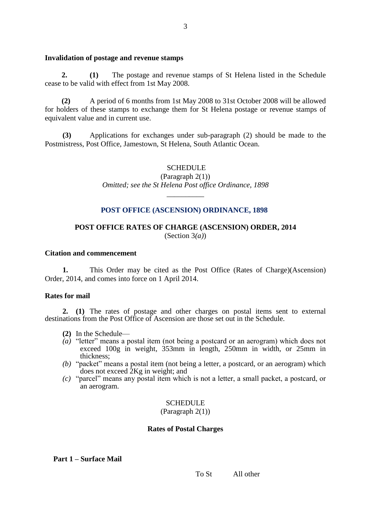#### **Invalidation of postage and revenue stamps**

**2. (1)** The postage and revenue stamps of St Helena listed in the Schedule cease to be valid with effect from 1st May 2008.

**(2)** A period of 6 months from 1st May 2008 to 31st October 2008 will be allowed for holders of these stamps to exchange them for St Helena postage or revenue stamps of equivalent value and in current use.

**(3)** Applications for exchanges under sub-paragraph (2) should be made to the Postmistress, Post Office, Jamestown, St Helena, South Atlantic Ocean.

#### **SCHEDULE**

(Paragraph 2(1)) *Omitted; see the St Helena Post office Ordinance, 1898*

\_\_\_\_\_\_\_\_\_\_

#### **POST OFFICE (ASCENSION) ORDINANCE, 1898**

### **POST OFFICE RATES OF CHARGE (ASCENSION) ORDER, 2014** (Section 3*(a)*)

#### **Citation and commencement**

**1.** This Order may be cited as the Post Office (Rates of Charge)(Ascension) Order, 2014, and comes into force on 1 April 2014.

#### **Rates for mail**

**2. (1)** The rates of postage and other charges on postal items sent to external destinations from the Post Office of Ascension are those set out in the Schedule.

- **(2)** In the Schedule—
- *(a)* "letter" means a postal item (not being a postcard or an aerogram) which does not exceed 100g in weight, 353mm in length, 250mm in width, or 25mm in thickness;
- *(b)* "packet" means a postal item (not being a letter, a postcard, or an aerogram) which does not exceed 2Kg in weight; and
- *(c)* "parcel" means any postal item which is not a letter, a small packet, a postcard, or an aerogram.

#### **SCHEDULE**

#### (Paragraph 2(1))

#### **Rates of Postal Charges**

### **Part 1 – Surface Mail**

To St All other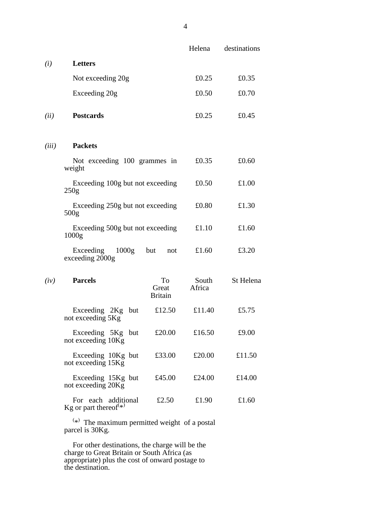|       |                                                                       |                               | Helena          | destinations |
|-------|-----------------------------------------------------------------------|-------------------------------|-----------------|--------------|
| (i)   | Letters                                                               |                               |                 |              |
|       | Not exceeding 20g                                                     |                               | £0.25           | £0.35        |
|       | Exceeding 20g                                                         |                               | £0.50           | £0.70        |
| (ii)  | <b>Postcards</b>                                                      |                               | £0.25           | £0.45        |
| (iii) | <b>Packets</b>                                                        |                               |                 |              |
|       | Not exceeding 100 grammes in<br>weight                                |                               | £0.35           | £0.60        |
|       | Exceeding 100g but not exceeding<br>250g                              |                               | £0.50           | £1.00        |
|       | Exceeding 250g but not exceeding<br>500 <sub>g</sub>                  |                               | £0.80           | £1.30        |
|       | Exceeding 500g but not exceeding<br>1000 <sub>g</sub>                 |                               | £1.10           | £1.60        |
|       | Exceeding 1000g<br>exceeding 2000g                                    | but<br>not                    | £1.60           | £3.20        |
| (iv)  | <b>Parcels</b>                                                        | To<br>Great<br><b>Britain</b> | South<br>Africa | St Helena    |
|       | Exceeding 2Kg but<br>not exceeding 5Kg                                | £12.50                        | £11.40          | £5.75        |
|       | Exceeding 5Kg but<br>not exceeding 10Kg                               | £20.00                        | £16.50          | £9.00        |
|       | Exceeding 10Kg but<br>not exceeding 15Kg                              | £33.00                        | £20.00          | £11.50       |
|       | Exceeding 15Kg but<br>not exceeding 20Kg                              | £45.00                        | £24.00          | £14.00       |
|       | For each additional<br>Kg or part thereof <sup><math>(*)</math></sup> | £2.50                         | £1.90           | £1.60        |

 $(*)$  The maximum permitted weight of a postal parcel is 30Kg.

For other destinations, the charge will be the charge to Great Britain or South Africa (as appropriate) plus the cost of onward postage to the destination.